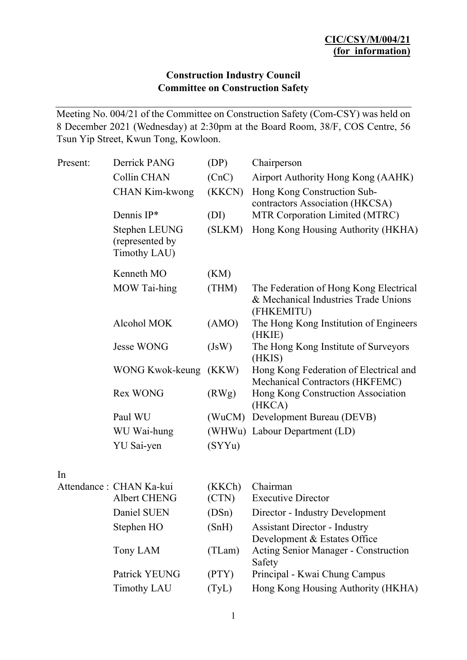# **Construction Industry Council Committee on Construction Safety**

Meeting No. 004/21 of the Committee on Construction Safety (Com-CSY) was held on 8 December 2021 (Wednesday) at 2:30pm at the Board Room, 38/F, COS Centre, 56 Tsun Yip Street, Kwun Tong, Kowloon.

| Present: | Derrick PANG                                     | (DP)            | Chairperson                                                                                  |
|----------|--------------------------------------------------|-----------------|----------------------------------------------------------------------------------------------|
|          | Collin CHAN                                      | (CnC)           | Airport Authority Hong Kong (AAHK)                                                           |
|          | <b>CHAN Kim-kwong</b>                            | (KKCN)          | Hong Kong Construction Sub-<br>contractors Association (HKCSA)                               |
|          | Dennis $IP*$                                     | (DI)            | MTR Corporation Limited (MTRC)                                                               |
|          | Stephen LEUNG<br>(represented by<br>Timothy LAU) | (SLKM)          | Hong Kong Housing Authority (HKHA)                                                           |
|          | Kenneth MO                                       | (KM)            |                                                                                              |
|          | MOW Tai-hing                                     | (THM)           | The Federation of Hong Kong Electrical<br>& Mechanical Industries Trade Unions<br>(FHKEMITU) |
|          | Alcohol MOK                                      | (AMO)           | The Hong Kong Institution of Engineers<br>(HKIE)                                             |
|          | <b>Jesse WONG</b>                                | (JsW)           | The Hong Kong Institute of Surveyors<br>(HKIS)                                               |
|          | WONG Kwok-keung (KKW)                            |                 | Hong Kong Federation of Electrical and<br>Mechanical Contractors (HKFEMC)                    |
|          | <b>Rex WONG</b>                                  | (RWg)           | Hong Kong Construction Association<br>(HKCA)                                                 |
|          | Paul WU                                          |                 | (WuCM) Development Bureau (DEVB)                                                             |
|          | WU Wai-hung                                      |                 | (WHWu) Labour Department (LD)                                                                |
|          | YU Sai-yen                                       | (SYYu)          |                                                                                              |
| In       |                                                  |                 |                                                                                              |
|          | Attendance : CHAN Ka-kui<br>Albert CHENG         | (KKCh)<br>(CTN) | Chairman<br><b>Executive Director</b>                                                        |
|          | Daniel SUEN                                      | (DSn)           | Director - Industry Development                                                              |
|          | Stephen HO                                       | (SnH)           | <b>Assistant Director - Industry</b>                                                         |

|          |        | Development & Estates Office                |
|----------|--------|---------------------------------------------|
| Tony LAM | Safety | (TLam) Acting Senior Manager - Construction |

- Patrick YEUNG (PTY) Principal Kwai Chung Campus
- Timothy LAU (TyL) Hong Kong Housing Authority (HKHA)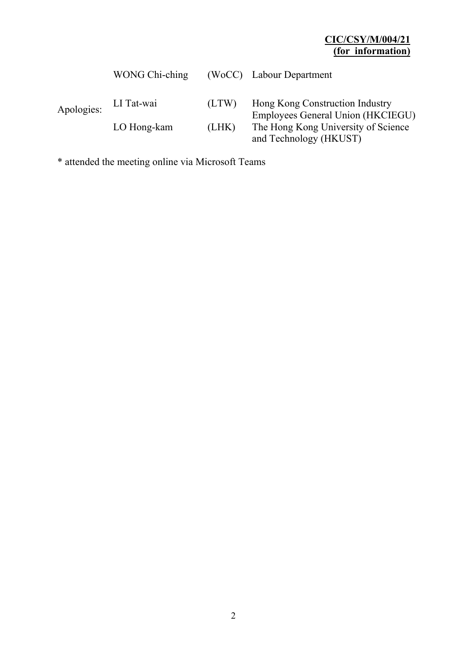# **CIC/CSY/M/004/21 (for information)**

|            | WONG Chi-ching            |                | (WoCC) Labour Department                                                                                                              |
|------------|---------------------------|----------------|---------------------------------------------------------------------------------------------------------------------------------------|
| Apologies: | LI Tat-wai<br>LO Hong-kam | (LTW)<br>(LHK) | Hong Kong Construction Industry<br>Employees General Union (HKCIEGU)<br>The Hong Kong University of Science<br>and Technology (HKUST) |
|            |                           |                |                                                                                                                                       |

\* attended the meeting online via Microsoft Teams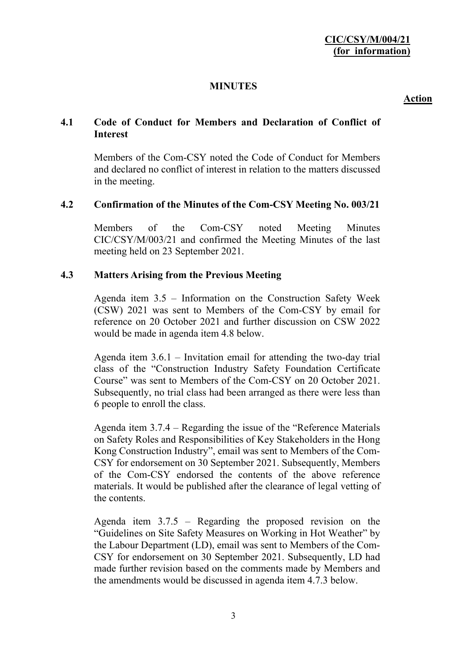## **MINUTES**

## **Action**

# **4.1 Code of Conduct for Members and Declaration of Conflict of Interest**

Members of the Com-CSY noted the Code of Conduct for Members and declared no conflict of interest in relation to the matters discussed in the meeting.

## **4.2 Confirmation of the Minutes of the Com-CSY Meeting No. 003/21**

Members of the Com-CSY noted Meeting Minutes CIC/CSY/M/003/21 and confirmed the Meeting Minutes of the last meeting held on 23 September 2021.

## **4.3 Matters Arising from the Previous Meeting**

Agenda item 3.5 – Information on the Construction Safety Week (CSW) 2021 was sent to Members of the Com-CSY by email for reference on 20 October 2021 and further discussion on CSW 2022 would be made in agenda item 4.8 below.

Agenda item 3.6.1 – Invitation email for attending the two-day trial class of the "Construction Industry Safety Foundation Certificate Course" was sent to Members of the Com-CSY on 20 October 2021. Subsequently, no trial class had been arranged as there were less than 6 people to enroll the class.

Agenda item 3.7.4 – Regarding the issue of the "Reference Materials on Safety Roles and Responsibilities of Key Stakeholders in the Hong Kong Construction Industry", email was sent to Members of the Com-CSY for endorsement on 30 September 2021. Subsequently, Members of the Com-CSY endorsed the contents of the above reference materials. It would be published after the clearance of legal vetting of the contents.

Agenda item 3.7.5 – Regarding the proposed revision on the "Guidelines on Site Safety Measures on Working in Hot Weather" by the Labour Department (LD), email was sent to Members of the Com-CSY for endorsement on 30 September 2021. Subsequently, LD had made further revision based on the comments made by Members and the amendments would be discussed in agenda item 4.7.3 below.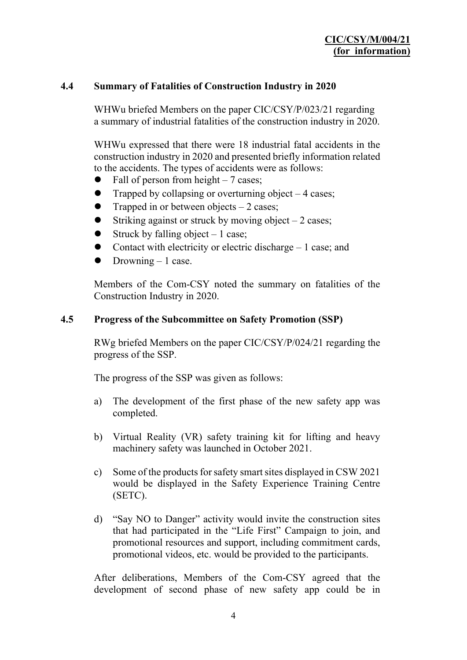## **4.4 Summary of Fatalities of Construction Industry in 2020**

WHWu briefed Members on the paper CIC/CSY/P/023/21 regarding a summary of industrial fatalities of the construction industry in 2020.

WHWu expressed that there were 18 industrial fatal accidents in the construction industry in 2020 and presented briefly information related to the accidents. The types of accidents were as follows:

- Fall of person from height  $-7$  cases;
- Trapped by collapsing or overturning object  $-4$  cases;
- Trapped in or between objects  $-2$  cases;
- $\bullet$  Striking against or struck by moving object 2 cases;
- $\bullet$  Struck by falling object 1 case;
- Contact with electricity or electric discharge  $-1$  case; and
- $\bullet$  Drowning 1 case.

Members of the Com-CSY noted the summary on fatalities of the Construction Industry in 2020.

#### **4.5 Progress of the Subcommittee on Safety Promotion (SSP)**

RWg briefed Members on the paper CIC/CSY/P/024/21 regarding the progress of the SSP.

The progress of the SSP was given as follows:

- a) The development of the first phase of the new safety app was completed.
- b) Virtual Reality (VR) safety training kit for lifting and heavy machinery safety was launched in October 2021.
- c) Some of the products for safety smart sites displayed in CSW 2021 would be displayed in the Safety Experience Training Centre (SETC).
- d) "Say NO to Danger" activity would invite the construction sites that had participated in the "Life First" Campaign to join, and promotional resources and support, including commitment cards, promotional videos, etc. would be provided to the participants.

After deliberations, Members of the Com-CSY agreed that the development of second phase of new safety app could be in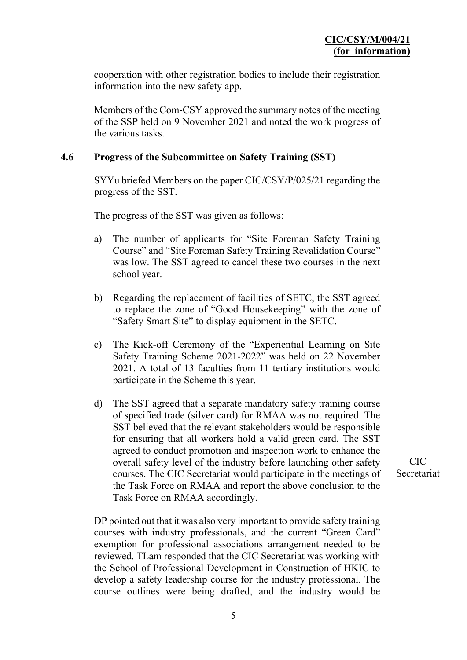cooperation with other registration bodies to include their registration information into the new safety app.

Members of the Com-CSY approved the summary notes of the meeting of the SSP held on 9 November 2021 and noted the work progress of the various tasks.

## **4.6 Progress of the Subcommittee on Safety Training (SST)**

SYYu briefed Members on the paper CIC/CSY/P/025/21 regarding the progress of the SST.

The progress of the SST was given as follows:

- a) The number of applicants for "Site Foreman Safety Training Course" and "Site Foreman Safety Training Revalidation Course" was low. The SST agreed to cancel these two courses in the next school year.
- b) Regarding the replacement of facilities of SETC, the SST agreed to replace the zone of "Good Housekeeping" with the zone of "Safety Smart Site" to display equipment in the SETC.
- c) The Kick-off Ceremony of the "Experiential Learning on Site Safety Training Scheme 2021-2022" was held on 22 November 2021. A total of 13 faculties from 11 tertiary institutions would participate in the Scheme this year.
- d) The SST agreed that a separate mandatory safety training course of specified trade (silver card) for RMAA was not required. The SST believed that the relevant stakeholders would be responsible for ensuring that all workers hold a valid green card. The SST agreed to conduct promotion and inspection work to enhance the overall safety level of the industry before launching other safety courses. The CIC Secretariat would participate in the meetings of the Task Force on RMAA and report the above conclusion to the Task Force on RMAA accordingly.

CIC Secretariat

DP pointed out that it was also very important to provide safety training courses with industry professionals, and the current "Green Card" exemption for professional associations arrangement needed to be reviewed. TLam responded that the CIC Secretariat was working with the School of Professional Development in Construction of HKIC to develop a safety leadership course for the industry professional. The course outlines were being drafted, and the industry would be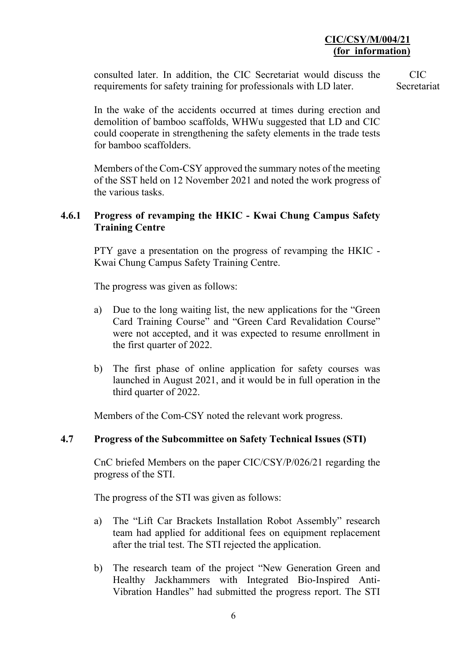# **CIC/CSY/M/004/21 (for information)**

consulted later. In addition, the CIC Secretariat would discuss the requirements for safety training for professionals with LD later. CIC Secretariat

In the wake of the accidents occurred at times during erection and demolition of bamboo scaffolds, WHWu suggested that LD and CIC could cooperate in strengthening the safety elements in the trade tests for bamboo scaffolders.

Members of the Com-CSY approved the summary notes of the meeting of the SST held on 12 November 2021 and noted the work progress of the various tasks.

## **4.6.1 Progress of revamping the HKIC - Kwai Chung Campus Safety Training Centre**

PTY gave a presentation on the progress of revamping the HKIC - Kwai Chung Campus Safety Training Centre.

The progress was given as follows:

- a) Due to the long waiting list, the new applications for the "Green Card Training Course" and "Green Card Revalidation Course" were not accepted, and it was expected to resume enrollment in the first quarter of 2022.
- b) The first phase of online application for safety courses was launched in August 2021, and it would be in full operation in the third quarter of 2022.

Members of the Com-CSY noted the relevant work progress.

#### **4.7 Progress of the Subcommittee on Safety Technical Issues (STI)**

CnC briefed Members on the paper CIC/CSY/P/026/21 regarding the progress of the STI.

The progress of the STI was given as follows:

- a) The "Lift Car Brackets Installation Robot Assembly" research team had applied for additional fees on equipment replacement after the trial test. The STI rejected the application.
- b) The research team of the project "New Generation Green and Healthy Jackhammers with Integrated Bio-Inspired Anti-Vibration Handles" had submitted the progress report. The STI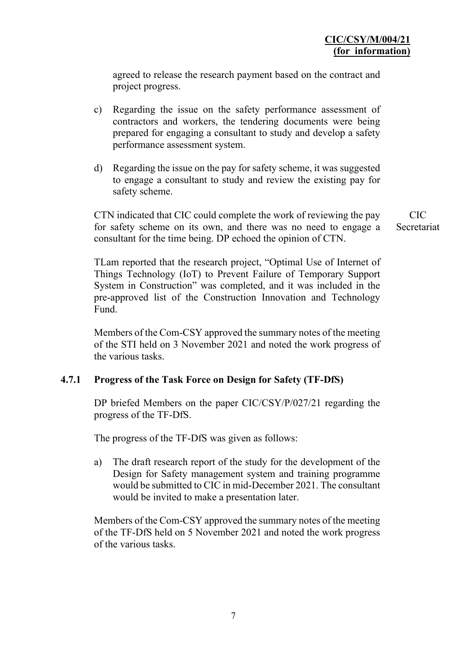agreed to release the research payment based on the contract and project progress.

- c) Regarding the issue on the safety performance assessment of contractors and workers, the tendering documents were being prepared for engaging a consultant to study and develop a safety performance assessment system.
- d) Regarding the issue on the pay for safety scheme, it was suggested to engage a consultant to study and review the existing pay for safety scheme.

CTN indicated that CIC could complete the work of reviewing the pay for safety scheme on its own, and there was no need to engage a consultant for the time being. DP echoed the opinion of CTN.

TLam reported that the research project, "Optimal Use of Internet of Things Technology (IoT) to Prevent Failure of Temporary Support System in Construction" was completed, and it was included in the pre-approved list of the Construction Innovation and Technology Fund.

Members of the Com-CSY approved the summary notes of the meeting of the STI held on 3 November 2021 and noted the work progress of the various tasks.

## **4.7.1 Progress of the Task Force on Design for Safety (TF-DfS)**

DP briefed Members on the paper CIC/CSY/P/027/21 regarding the progress of the TF-DfS.

The progress of the TF-DfS was given as follows:

a) The draft research report of the study for the development of the Design for Safety management system and training programme would be submitted to CIC in mid-December 2021. The consultant would be invited to make a presentation later.

Members of the Com-CSY approved the summary notes of the meeting of the TF-DfS held on 5 November 2021 and noted the work progress of the various tasks.

CIC Secretariat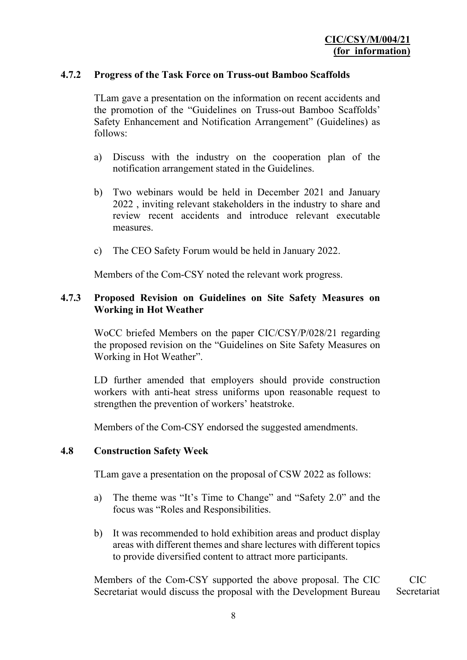## **4.7.2 Progress of the Task Force on Truss-out Bamboo Scaffolds**

TLam gave a presentation on the information on recent accidents and the promotion of the "Guidelines on Truss-out Bamboo Scaffolds' Safety Enhancement and Notification Arrangement" (Guidelines) as follows:

- a) Discuss with the industry on the cooperation plan of the notification arrangement stated in the Guidelines.
- b) Two webinars would be held in December 2021 and January 2022 , inviting relevant stakeholders in the industry to share and review recent accidents and introduce relevant executable measures.
- c) The CEO Safety Forum would be held in January 2022.

Members of the Com-CSY noted the relevant work progress.

## **4.7.3 Proposed Revision on Guidelines on Site Safety Measures on Working in Hot Weather**

WoCC briefed Members on the paper CIC/CSY/P/028/21 regarding the proposed revision on the "Guidelines on Site Safety Measures on Working in Hot Weather".

LD further amended that employers should provide construction workers with anti-heat stress uniforms upon reasonable request to strengthen the prevention of workers' heatstroke.

Members of the Com-CSY endorsed the suggested amendments.

#### **4.8 Construction Safety Week**

TLam gave a presentation on the proposal of CSW 2022 as follows:

- a) The theme was "It's Time to Change" and "Safety 2.0" and the focus was "Roles and Responsibilities.
- b) It was recommended to hold exhibition areas and product display areas with different themes and share lectures with different topics to provide diversified content to attract more participants.

Members of the Com-CSY supported the above proposal. The CIC Secretariat would discuss the proposal with the Development Bureau